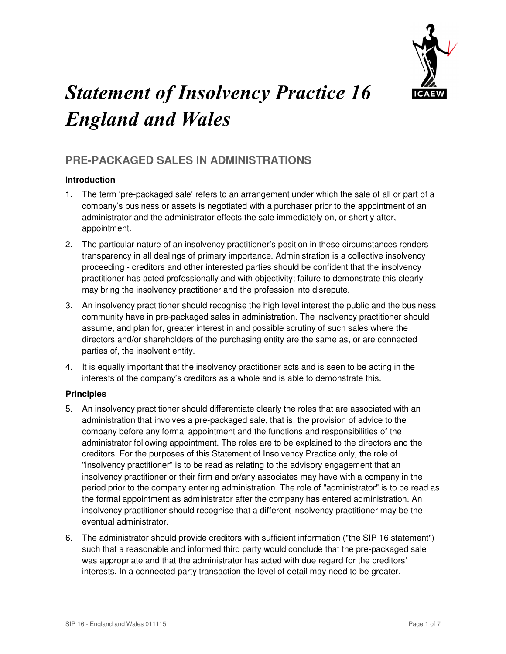

# Statement of Insolvency Practice 16 England and Wales

# **PRE-PACKAGED SALES IN ADMINISTRATIONS**

# **Introduction**

- 1. The term 'pre-packaged sale' refers to an arrangement under which the sale of all or part of a company's business or assets is negotiated with a purchaser prior to the appointment of an administrator and the administrator effects the sale immediately on, or shortly after, appointment.
- 2. The particular nature of an insolvency practitioner's position in these circumstances renders transparency in all dealings of primary importance. Administration is a collective insolvency proceeding - creditors and other interested parties should be confident that the insolvency practitioner has acted professionally and with objectivity; failure to demonstrate this clearly may bring the insolvency practitioner and the profession into disrepute.
- 3. An insolvency practitioner should recognise the high level interest the public and the business community have in pre-packaged sales in administration. The insolvency practitioner should assume, and plan for, greater interest in and possible scrutiny of such sales where the directors and/or shareholders of the purchasing entity are the same as, or are connected parties of, the insolvent entity.
- 4. It is equally important that the insolvency practitioner acts and is seen to be acting in the interests of the company's creditors as a whole and is able to demonstrate this.

# **Principles**

- 5. An insolvency practitioner should differentiate clearly the roles that are associated with an administration that involves a pre-packaged sale, that is, the provision of advice to the company before any formal appointment and the functions and responsibilities of the administrator following appointment. The roles are to be explained to the directors and the creditors. For the purposes of this Statement of Insolvency Practice only, the role of "insolvency practitioner" is to be read as relating to the advisory engagement that an insolvency practitioner or their firm and or/any associates may have with a company in the period prior to the company entering administration. The role of "administrator" is to be read as the formal appointment as administrator after the company has entered administration. An insolvency practitioner should recognise that a different insolvency practitioner may be the eventual administrator.
- 6. The administrator should provide creditors with sufficient information ("the SIP 16 statement") such that a reasonable and informed third party would conclude that the pre-packaged sale was appropriate and that the administrator has acted with due regard for the creditors' interests. In a connected party transaction the level of detail may need to be greater.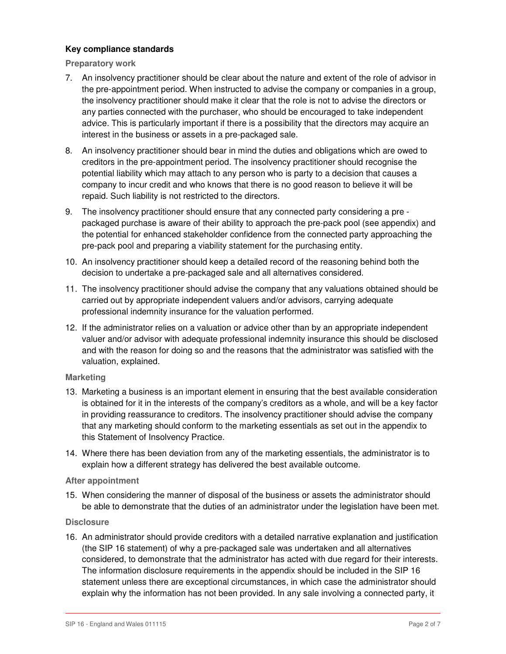# **Key compliance standards**

**Preparatory work** 

- 7. An insolvency practitioner should be clear about the nature and extent of the role of advisor in the pre-appointment period. When instructed to advise the company or companies in a group, the insolvency practitioner should make it clear that the role is not to advise the directors or any parties connected with the purchaser, who should be encouraged to take independent advice. This is particularly important if there is a possibility that the directors may acquire an interest in the business or assets in a pre-packaged sale.
- 8. An insolvency practitioner should bear in mind the duties and obligations which are owed to creditors in the pre-appointment period. The insolvency practitioner should recognise the potential liability which may attach to any person who is party to a decision that causes a company to incur credit and who knows that there is no good reason to believe it will be repaid. Such liability is not restricted to the directors.
- 9. The insolvency practitioner should ensure that any connected party considering a pre packaged purchase is aware of their ability to approach the pre-pack pool (see appendix) and the potential for enhanced stakeholder confidence from the connected party approaching the pre-pack pool and preparing a viability statement for the purchasing entity.
- 10. An insolvency practitioner should keep a detailed record of the reasoning behind both the decision to undertake a pre-packaged sale and all alternatives considered.
- 11. The insolvency practitioner should advise the company that any valuations obtained should be carried out by appropriate independent valuers and/or advisors, carrying adequate professional indemnity insurance for the valuation performed.
- 12. If the administrator relies on a valuation or advice other than by an appropriate independent valuer and/or advisor with adequate professional indemnity insurance this should be disclosed and with the reason for doing so and the reasons that the administrator was satisfied with the valuation, explained.

# **Marketing**

- 13. Marketing a business is an important element in ensuring that the best available consideration is obtained for it in the interests of the company's creditors as a whole, and will be a key factor in providing reassurance to creditors. The insolvency practitioner should advise the company that any marketing should conform to the marketing essentials as set out in the appendix to this Statement of Insolvency Practice.
- 14. Where there has been deviation from any of the marketing essentials, the administrator is to explain how a different strategy has delivered the best available outcome.

# **After appointment**

15. When considering the manner of disposal of the business or assets the administrator should be able to demonstrate that the duties of an administrator under the legislation have been met.

# **Disclosure**

16. An administrator should provide creditors with a detailed narrative explanation and justification (the SIP 16 statement) of why a pre-packaged sale was undertaken and all alternatives considered, to demonstrate that the administrator has acted with due regard for their interests. The information disclosure requirements in the appendix should be included in the SIP 16 statement unless there are exceptional circumstances, in which case the administrator should explain why the information has not been provided. In any sale involving a connected party, it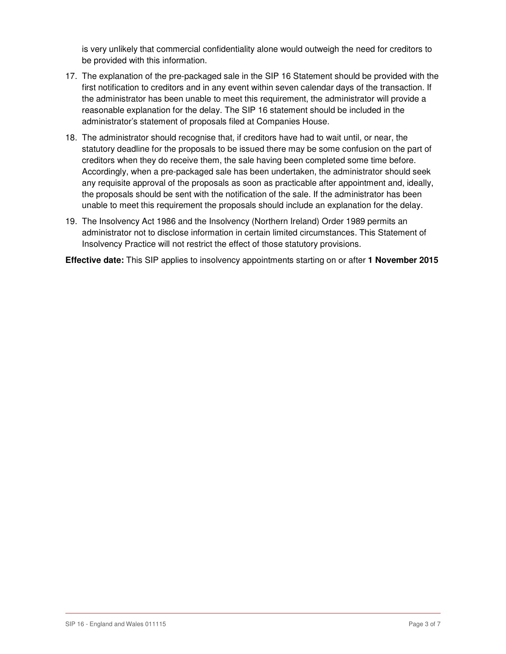is very unlikely that commercial confidentiality alone would outweigh the need for creditors to be provided with this information.

- 17. The explanation of the pre-packaged sale in the SIP 16 Statement should be provided with the first notification to creditors and in any event within seven calendar days of the transaction. If the administrator has been unable to meet this requirement, the administrator will provide a reasonable explanation for the delay. The SIP 16 statement should be included in the administrator's statement of proposals filed at Companies House.
- 18. The administrator should recognise that, if creditors have had to wait until, or near, the statutory deadline for the proposals to be issued there may be some confusion on the part of creditors when they do receive them, the sale having been completed some time before. Accordingly, when a pre-packaged sale has been undertaken, the administrator should seek any requisite approval of the proposals as soon as practicable after appointment and, ideally, the proposals should be sent with the notification of the sale. If the administrator has been unable to meet this requirement the proposals should include an explanation for the delay.
- 19. The Insolvency Act 1986 and the Insolvency (Northern Ireland) Order 1989 permits an administrator not to disclose information in certain limited circumstances. This Statement of Insolvency Practice will not restrict the effect of those statutory provisions.

**Effective date:** This SIP applies to insolvency appointments starting on or after **1 November 2015**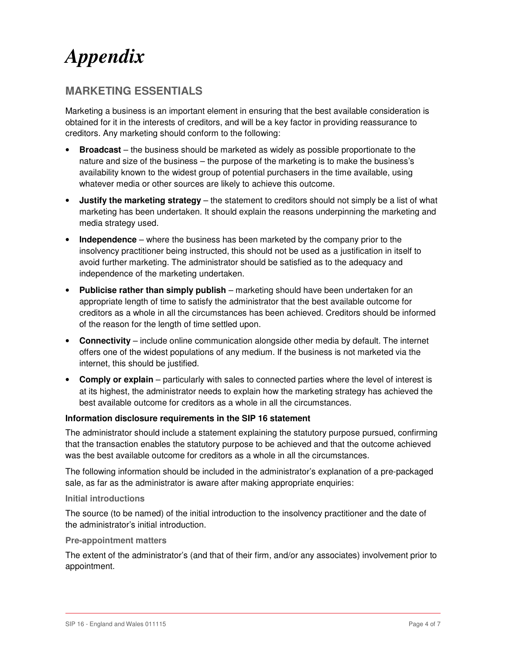# *Appendix*

# **MARKETING ESSENTIALS**

Marketing a business is an important element in ensuring that the best available consideration is obtained for it in the interests of creditors, and will be a key factor in providing reassurance to creditors. Any marketing should conform to the following:

- **Broadcast** the business should be marketed as widely as possible proportionate to the nature and size of the business – the purpose of the marketing is to make the business's availability known to the widest group of potential purchasers in the time available, using whatever media or other sources are likely to achieve this outcome.
- **Justify the marketing strategy** the statement to creditors should not simply be a list of what marketing has been undertaken. It should explain the reasons underpinning the marketing and media strategy used.
- **Independence** where the business has been marketed by the company prior to the insolvency practitioner being instructed, this should not be used as a justification in itself to avoid further marketing. The administrator should be satisfied as to the adequacy and independence of the marketing undertaken.
- **Publicise rather than simply publish** marketing should have been undertaken for an appropriate length of time to satisfy the administrator that the best available outcome for creditors as a whole in all the circumstances has been achieved. Creditors should be informed of the reason for the length of time settled upon.
- **Connectivity** include online communication alongside other media by default. The internet offers one of the widest populations of any medium. If the business is not marketed via the internet, this should be justified.
- **Comply or explain** particularly with sales to connected parties where the level of interest is at its highest, the administrator needs to explain how the marketing strategy has achieved the best available outcome for creditors as a whole in all the circumstances.

# **Information disclosure requirements in the SIP 16 statement**

The administrator should include a statement explaining the statutory purpose pursued, confirming that the transaction enables the statutory purpose to be achieved and that the outcome achieved was the best available outcome for creditors as a whole in all the circumstances.

The following information should be included in the administrator's explanation of a pre-packaged sale, as far as the administrator is aware after making appropriate enquiries:

#### **Initial introductions**

The source (to be named) of the initial introduction to the insolvency practitioner and the date of the administrator's initial introduction.

#### **Pre-appointment matters**

The extent of the administrator's (and that of their firm, and/or any associates) involvement prior to appointment.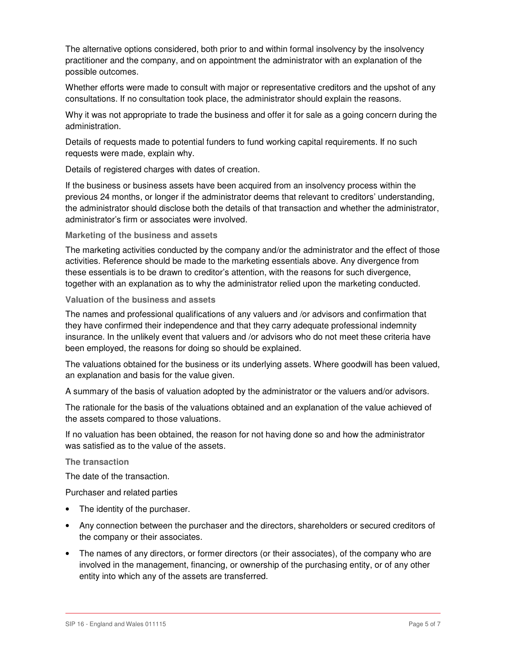The alternative options considered, both prior to and within formal insolvency by the insolvency practitioner and the company, and on appointment the administrator with an explanation of the possible outcomes.

Whether efforts were made to consult with major or representative creditors and the upshot of any consultations. If no consultation took place, the administrator should explain the reasons.

Why it was not appropriate to trade the business and offer it for sale as a going concern during the administration.

Details of requests made to potential funders to fund working capital requirements. If no such requests were made, explain why.

Details of registered charges with dates of creation.

If the business or business assets have been acquired from an insolvency process within the previous 24 months, or longer if the administrator deems that relevant to creditors' understanding, the administrator should disclose both the details of that transaction and whether the administrator, administrator's firm or associates were involved.

#### **Marketing of the business and assets**

The marketing activities conducted by the company and/or the administrator and the effect of those activities. Reference should be made to the marketing essentials above. Any divergence from these essentials is to be drawn to creditor's attention, with the reasons for such divergence, together with an explanation as to why the administrator relied upon the marketing conducted.

### **Valuation of the business and assets**

The names and professional qualifications of any valuers and /or advisors and confirmation that they have confirmed their independence and that they carry adequate professional indemnity insurance. In the unlikely event that valuers and /or advisors who do not meet these criteria have been employed, the reasons for doing so should be explained.

The valuations obtained for the business or its underlying assets. Where goodwill has been valued, an explanation and basis for the value given.

A summary of the basis of valuation adopted by the administrator or the valuers and/or advisors.

The rationale for the basis of the valuations obtained and an explanation of the value achieved of the assets compared to those valuations.

If no valuation has been obtained, the reason for not having done so and how the administrator was satisfied as to the value of the assets.

#### **The transaction**

The date of the transaction.

Purchaser and related parties

- The identity of the purchaser.
- Any connection between the purchaser and the directors, shareholders or secured creditors of the company or their associates.
- The names of any directors, or former directors (or their associates), of the company who are involved in the management, financing, or ownership of the purchasing entity, or of any other entity into which any of the assets are transferred.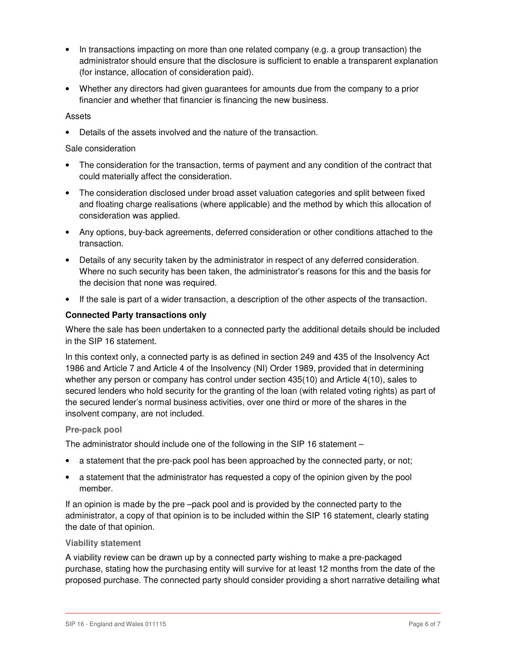- In transactions impacting on more than one related company (e.g. a group transaction) the administrator should ensure that the disclosure is sufficient to enable a transparent explanation (for instance, allocation of consideration paid).
- Whether any directors had given guarantees for amounts due from the company to a prior financier and whether that financier is financing the new business.

#### Assets

• Details of the assets involved and the nature of the transaction.

#### Sale consideration

- The consideration for the transaction, terms of payment and any condition of the contract that could materially affect the consideration.
- The consideration disclosed under broad asset valuation categories and split between fixed and floating charge realisations (where applicable) and the method by which this allocation of consideration was applied.
- Any options, buy-back agreements, deferred consideration or other conditions attached to the transaction.
- Details of any security taken by the administrator in respect of any deferred consideration. Where no such security has been taken, the administrator's reasons for this and the basis for the decision that none was required.
- If the sale is part of a wider transaction, a description of the other aspects of the transaction.

#### **Connected Party transactions only**

Where the sale has been undertaken to a connected party the additional details should be included in the SIP 16 statement.

In this context only, a connected party is as defined in section 249 and 435 of the Insolvency Act 1986 and Article 7 and Article 4 of the Insolvency (NI) Order 1989, provided that in determining whether any person or company has control under section 435(10) and Article 4(10), sales to secured lenders who hold security for the granting of the loan (with related voting rights) as part of the secured lender's normal business activities, over one third or more of the shares in the insolvent company, are not included.

#### **Pre-pack pool**

The administrator should include one of the following in the SIP 16 statement –

- a statement that the pre-pack pool has been approached by the connected party, or not;
- a statement that the administrator has requested a copy of the opinion given by the pool member.

If an opinion is made by the pre –pack pool and is provided by the connected party to the administrator, a copy of that opinion is to be included within the SIP 16 statement, clearly stating the date of that opinion.

#### **Viability statement**

A viability review can be drawn up by a connected party wishing to make a pre-packaged purchase, stating how the purchasing entity will survive for at least 12 months from the date of the proposed purchase. The connected party should consider providing a short narrative detailing what